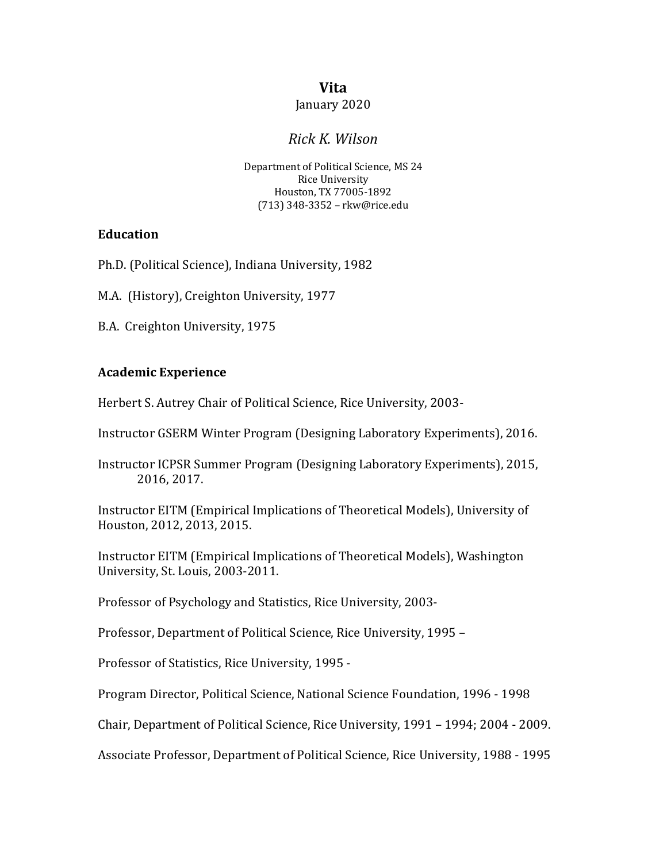# **Vita**

#### January 2020

# *Rick K. Wilson*

Department of Political Science, MS 24 **Rice University** Houston, TX 77005-1892 (713) 348-3352 – rkw@rice.edu

### **Education**

Ph.D. (Political Science), Indiana University, 1982

M.A. (History), Creighton University, 1977

B.A. Creighton University, 1975

### **Academic Experience**

Herbert S. Autrey Chair of Political Science, Rice University, 2003-

Instructor GSERM Winter Program (Designing Laboratory Experiments), 2016.

Instructor ICPSR Summer Program (Designing Laboratory Experiments), 2015, 2016, 2017.

Instructor EITM (Empirical Implications of Theoretical Models), University of Houston, 2012, 2013, 2015.

Instructor EITM (Empirical Implications of Theoretical Models), Washington University, St. Louis, 2003-2011.

Professor of Psychology and Statistics, Rice University, 2003-

Professor, Department of Political Science, Rice University, 1995 -

Professor of Statistics, Rice University, 1995 -

Program Director, Political Science, National Science Foundation, 1996 - 1998

Chair, Department of Political Science, Rice University, 1991 - 1994; 2004 - 2009.

Associate Professor, Department of Political Science, Rice University, 1988 - 1995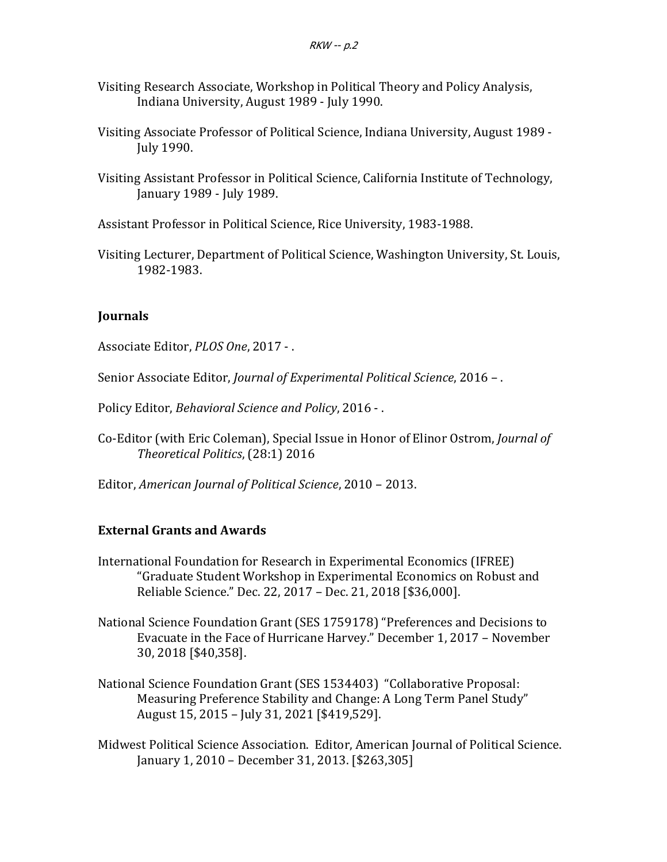- Visiting Research Associate, Workshop in Political Theory and Policy Analysis, Indiana University, August 1989 - July 1990.
- Visiting Associate Professor of Political Science, Indiana University, August 1989 -July 1990.
- Visiting Assistant Professor in Political Science, California Institute of Technology, January 1989 - July 1989.
- Assistant Professor in Political Science, Rice University, 1983-1988.
- Visiting Lecturer, Department of Political Science, Washington University, St. Louis, 1982-1983.

### **Journals**

Associate Editor, *PLOS One*, 2017 - .

Senior Associate Editor, *Journal of Experimental Political Science*, 2016 -.

Policy Editor, *Behavioral Science and Policy*, 2016 - .

- Co-Editor (with Eric Coleman), Special Issue in Honor of Elinor Ostrom, *Journal of Theoretical Politics*, (28:1) 2016
- Editor, *American Journal of Political Science*, 2010 2013.

## **External Grants and Awards**

- International Foundation for Research in Experimental Economics (IFREE) "Graduate Student Workshop in Experimental Economics on Robust and Reliable Science." Dec. 22, 2017 - Dec. 21, 2018 [\$36,000].
- National Science Foundation Grant (SES 1759178) "Preferences and Decisions to Evacuate in the Face of Hurricane Harvey." December 1, 2017 - November 30, 2018 [\$40,358].
- National Science Foundation Grant (SES 1534403) "Collaborative Proposal: Measuring Preference Stability and Change: A Long Term Panel Study" August 15, 2015 - July 31, 2021 [\$419,529].
- Midwest Political Science Association. Editor, American Journal of Political Science. January 1, 2010 - December 31, 2013. [\$263,305]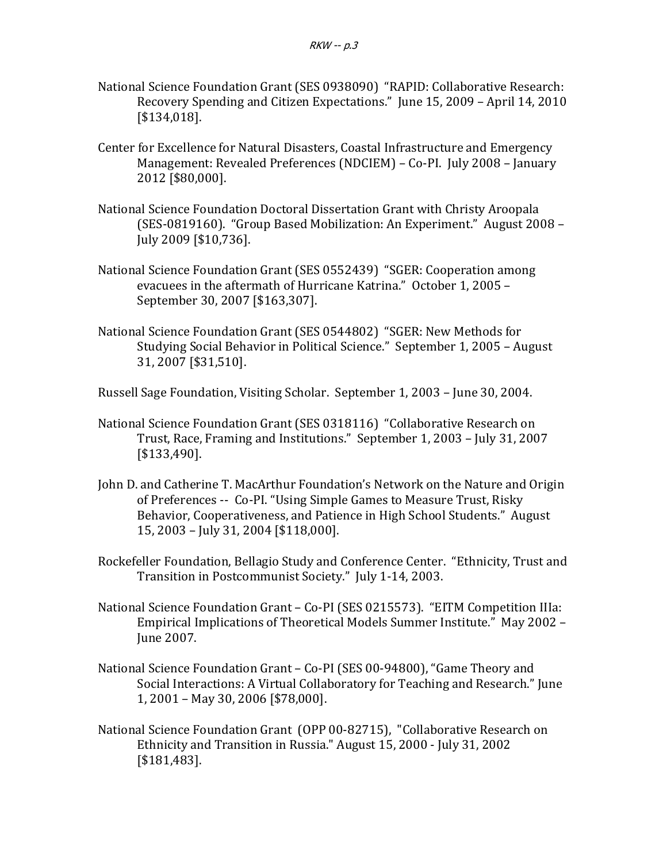- National Science Foundation Grant (SES 0938090) "RAPID: Collaborative Research: Recovery Spending and Citizen Expectations." June 15, 2009 - April 14, 2010 [\$134,018].
- Center for Excellence for Natural Disasters, Coastal Infrastructure and Emergency Management: Revealed Preferences (NDCIEM) – Co-PI. July 2008 – January 2012 [\$80,000].
- National Science Foundation Doctoral Dissertation Grant with Christy Aroopala (SES-0819160). "Group Based Mobilization: An Experiment." August 2008 – July 2009 [\$10,736].
- National Science Foundation Grant (SES 0552439) "SGER: Cooperation among evacuees in the aftermath of Hurricane Katrina." October 1, 2005 -September 30, 2007 [\$163,307].
- National Science Foundation Grant (SES 0544802) "SGER: New Methods for Studying Social Behavior in Political Science." September 1, 2005 - August 31, 2007 [\$31,510].

Russell Sage Foundation, Visiting Scholar. September 1, 2003 – June 30, 2004.

- National Science Foundation Grant (SES 0318116) "Collaborative Research on Trust, Race, Framing and Institutions." September 1, 2003 - July 31, 2007 [\$133,490].
- John D. and Catherine T. MacArthur Foundation's Network on the Nature and Origin of Preferences -- Co-PI. "Using Simple Games to Measure Trust, Risky Behavior, Cooperativeness, and Patience in High School Students." August 15, 2003 – July 31, 2004 [\$118,000].
- Rockefeller Foundation, Bellagio Study and Conference Center. "Ethnicity, Trust and Transition in Postcommunist Society." July 1-14, 2003.
- National Science Foundation Grant Co-PI (SES 0215573). "EITM Competition IIIa: Empirical Implications of Theoretical Models Summer Institute." May 2002 -June 2007.
- National Science Foundation Grant Co-PI (SES 00-94800), "Game Theory and Social Interactions: A Virtual Collaboratory for Teaching and Research." Iune 1, 2001 - May 30, 2006 [\$78,000].
- National Science Foundation Grant (OPP 00-82715), "Collaborative Research on Ethnicity and Transition in Russia." August 15, 2000 - July 31, 2002 [\$181,483].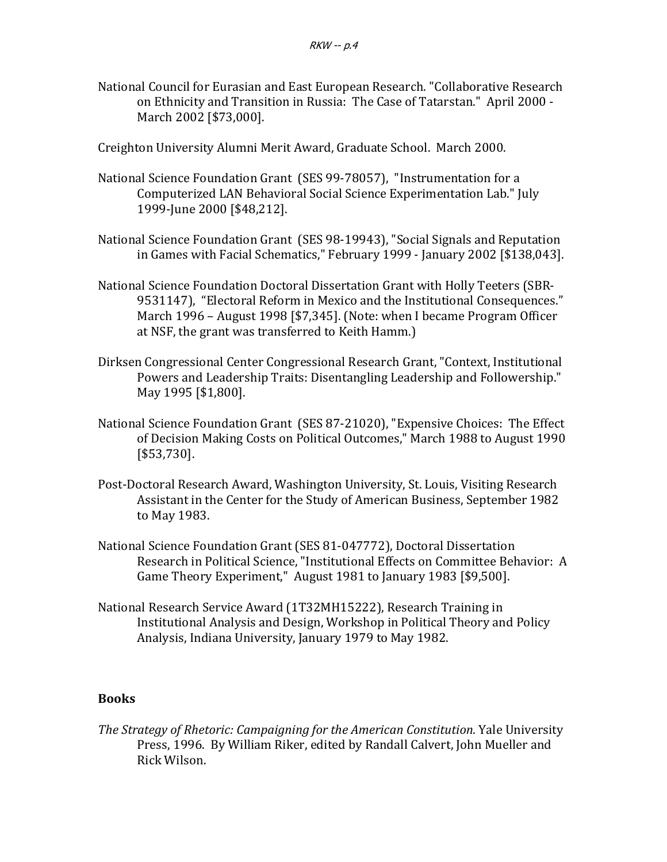National Council for Eurasian and East European Research. "Collaborative Research on Ethnicity and Transition in Russia: The Case of Tatarstan." April 2000 -March 2002 [\$73,000].

Creighton University Alumni Merit Award, Graduate School. March 2000.

- National Science Foundation Grant (SES 99-78057), "Instrumentation for a Computerized LAN Behavioral Social Science Experimentation Lab." July 1999-June 2000 [\$48,212].
- National Science Foundation Grant (SES 98-19943), "Social Signals and Reputation in Games with Facial Schematics," February 1999 - January 2002 [\$138,043].
- National Science Foundation Doctoral Dissertation Grant with Holly Teeters (SBR-9531147), "Electoral Reform in Mexico and the Institutional Consequences." March 1996 - August 1998 [\$7,345]. (Note: when I became Program Officer at NSF, the grant was transferred to Keith Hamm.)
- Dirksen Congressional Center Congressional Research Grant, "Context, Institutional Powers and Leadership Traits: Disentangling Leadership and Followership." May 1995 [\$1,800].
- National Science Foundation Grant (SES 87-21020), "Expensive Choices: The Effect of Decision Making Costs on Political Outcomes," March 1988 to August 1990 [\$53,730].
- Post-Doctoral Research Award, Washington University, St. Louis, Visiting Research Assistant in the Center for the Study of American Business, September 1982 to May 1983.
- National Science Foundation Grant (SES 81-047772), Doctoral Dissertation Research in Political Science, "Institutional Effects on Committee Behavior: A Game Theory Experiment," August 1981 to January 1983 [\$9,500].
- National Research Service Award (1T32MH15222), Research Training in Institutional Analysis and Design, Workshop in Political Theory and Policy Analysis, Indiana University, January 1979 to May 1982.

#### **Books**

The Strategy of Rhetoric: Campaigning for the American Constitution. Yale University Press, 1996. By William Riker, edited by Randall Calvert, John Mueller and Rick Wilson.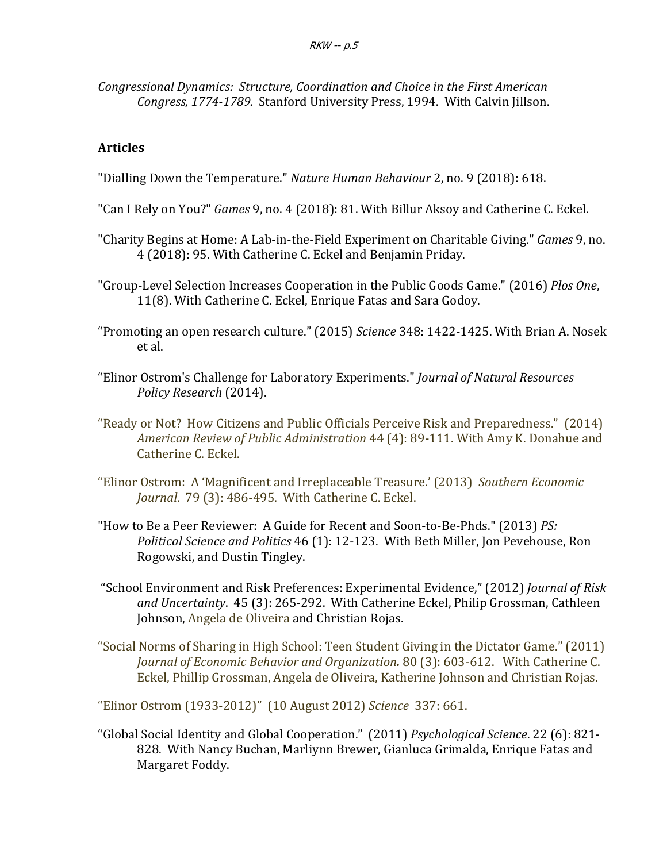Congressional Dynamics: Structure, Coordination and Choice in the First American Congress, 1774-1789. Stanford University Press, 1994. With Calvin Jillson.

## **Articles**

"Dialling Down the Temperature." *Nature Human Behaviour* 2, no. 9 (2018): 618.

- "Can I Rely on You?" *Games* 9, no. 4 (2018): 81. With Billur Aksoy and Catherine C. Eckel.
- "Charity Begins at Home: A Lab-in-the-Field Experiment on Charitable Giving." *Games* 9, no. 4 (2018): 95. With Catherine C. Eckel and Benjamin Priday.
- "Group-Level Selection Increases Cooperation in the Public Goods Game." (2016) Plos One, 11(8). With Catherine C. Eckel, Enrique Fatas and Sara Godoy.
- "Promoting an open research culture." (2015) *Science* 348: 1422-1425. With Brian A. Nosek et al.
- "Elinor Ostrom's Challenge for Laboratory Experiments." *Journal of Natural Resources Policy Research* (2014).
- "Ready or Not? How Citizens and Public Officials Perceive Risk and Preparedness." (2014) *American Review of Public Administration* 44 (4): 89-111. With Amy K. Donahue and Catherine C. Eckel.
- "Elinor Ostrom: A 'Magnificent and Irreplaceable Treasure.' (2013) Southern Economic *Journal.* 79 (3): 486-495. With Catherine C. Eckel.
- "How to Be a Peer Reviewer: A Guide for Recent and Soon-to-Be-Phds." (2013) *PS: Political Science and Politics* 46 (1): 12-123. With Beth Miller, Jon Pevehouse, Ron Rogowski, and Dustin Tingley.
- "School Environment and Risk Preferences: Experimental Evidence," (2012) *Journal of Risk* and Uncertainty. 45 (3): 265-292. With Catherine Eckel, Philip Grossman, Cathleen Johnson, Angela de Oliveira and Christian Rojas.
- "Social Norms of Sharing in High School: Teen Student Giving in the Dictator Game." (2011) *Journal of Economic Behavior and Organization*. 80 (3): 603-612. With Catherine C. Eckel, Phillip Grossman, Angela de Oliveira, Katherine Johnson and Christian Rojas.

"Elinor Ostrom (1933-2012)" (10 August 2012) Science 337: 661.

"Global Social Identity and Global Cooperation." (2011) Psychological Science. 22 (6): 821-828. With Nancy Buchan, Marliynn Brewer, Gianluca Grimalda, Enrique Fatas and Margaret Foddy.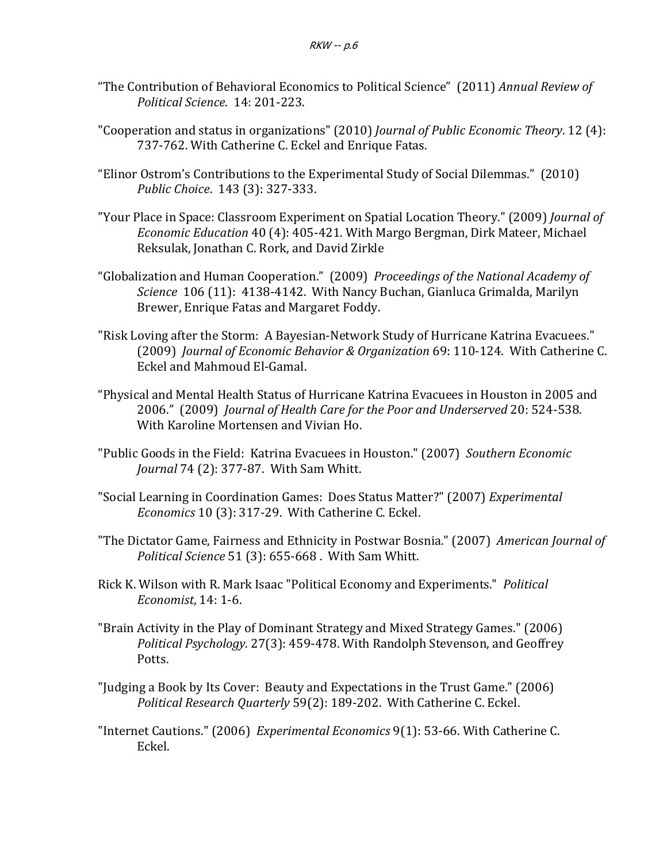- "The Contribution of Behavioral Economics to Political Science" (2011) *Annual Review of Political Science*. 14: 201-223.
- "Cooperation and status in organizations" (2010) *Journal of Public Economic Theory*. 12 (4): 737-762. With Catherine C. Eckel and Enrique Fatas.
- "Elinor Ostrom's Contributions to the Experimental Study of Social Dilemmas." (2010) *Public Choice*. 143 (3): 327-333.
- "Your Place in Space: Classroom Experiment on Spatial Location Theory." (2009) *Journal of Economic Education* 40 (4): 405-421. With Margo Bergman, Dirk Mateer, Michael Reksulak, Jonathan C. Rork, and David Zirkle
- "Globalization and Human Cooperation." (2009) Proceedings of the National Academy of *Science* 106 (11): 4138-4142. With Nancy Buchan, Gianluca Grimalda, Marilyn Brewer, Enrique Fatas and Margaret Foddy.
- "Risk Loving after the Storm: A Bayesian-Network Study of Hurricane Katrina Evacuees." (2009) *Journal of Economic Behavior & Organization* 69: 110-124. With Catherine C. Eckel and Mahmoud El-Gamal.
- "Physical and Mental Health Status of Hurricane Katrina Evacuees in Houston in 2005 and 2006." (2009) Journal of Health Care for the Poor and Underserved 20: 524-538. With Karoline Mortensen and Vivian Ho.
- "Public Goods in the Field: Katrina Evacuees in Houston." (2007) Southern Economic *Journal* 74 (2): 377-87. With Sam Whitt.
- "Social Learning in Coordination Games: Does Status Matter?" (2007) *Experimental Economics* 10 (3): 317-29. With Catherine C. Eckel.
- "The Dictator Game, Fairness and Ethnicity in Postwar Bosnia." (2007) American Journal of Political Science 51 (3): 655-668 . With Sam Whitt.
- Rick K. Wilson with R. Mark Isaac "Political Economy and Experiments." *Political Economist*, 14: 1-6.
- "Brain Activity in the Play of Dominant Strategy and Mixed Strategy Games." (2006) *Political Psychology.* 27(3): 459-478. With Randolph Stevenson, and Geoffrey Potts.
- "Judging a Book by Its Cover: Beauty and Expectations in the Trust Game." (2006) Political Research Quarterly 59(2): 189-202. With Catherine C. Eckel.
- "Internet Cautions." (2006) *Experimental Economics* 9(1): 53-66. With Catherine C. Eckel.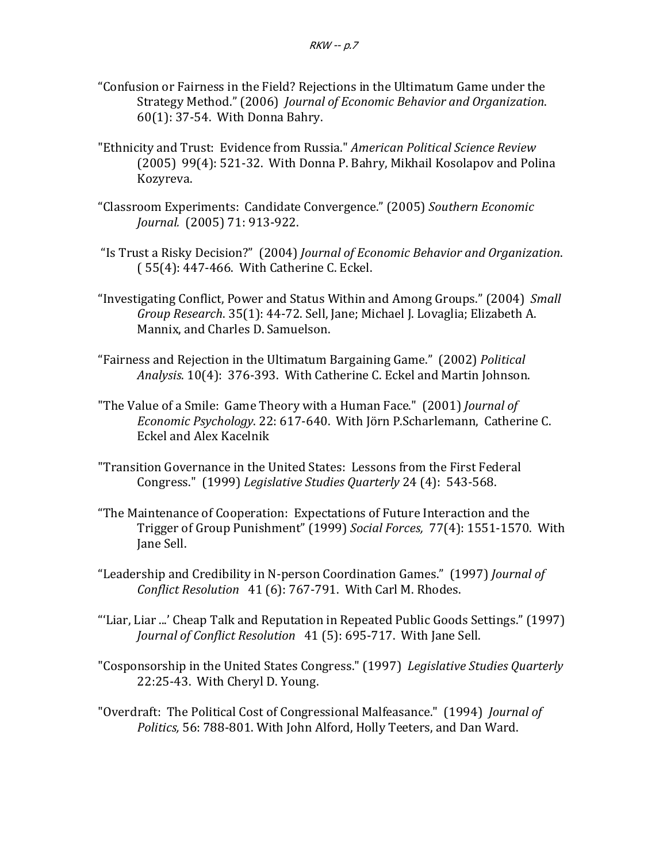- "Confusion or Fairness in the Field? Rejections in the Ultimatum Game under the Strategy Method." (2006) Journal of Economic Behavior and Organization.  $60(1)$ : 37-54. With Donna Bahry.
- "Ethnicity and Trust: Evidence from Russia." American Political Science Review (2005) 99(4): 521-32. With Donna P. Bahry, Mikhail Kosolapov and Polina Kozyreva.
- "Classroom Experiments: Candidate Convergence." (2005) *Southern Economic Journal.* (2005) 71: 913-922.
- "Is Trust a Risky Decision?" (2004) *Journal of Economic Behavior and Organization*.  $(55(4): 447-466.$  With Catherine C. Eckel.
- "Investigating Conflict, Power and Status Within and Among Groups." (2004) Small *Group Research*. 35(1): 44-72. Sell, Jane; Michael J. Lovaglia; Elizabeth A. Mannix, and Charles D. Samuelson.
- "Fairness and Rejection in the Ultimatum Bargaining Game." (2002) *Political* Analysis. 10(4): 376-393. With Catherine C. Eckel and Martin Johnson.
- "The Value of a Smile: Game Theory with a Human Face." (2001) *Journal of Economic Psychology.* 22: 617-640. With Jörn P.Scharlemann, Catherine C. Eckel and Alex Kacelnik
- "Transition Governance in the United States: Lessons from the First Federal Congress." (1999) *Legislative Studies Quarterly* 24 (4): 543-568.
- "The Maintenance of Cooperation: Expectations of Future Interaction and the Trigger of Group Punishment" (1999) Social Forces, 77(4): 1551-1570. With Jane Sell.
- "Leadership and Credibility in N-person Coordination Games." (1997) *Journal of Conflict Resolution* 41 (6): 767-791. With Carl M. Rhodes.
- "'Liar, Liar ...' Cheap Talk and Reputation in Repeated Public Goods Settings." (1997) *Journal of Conflict Resolution* 41 (5): 695-717. With Jane Sell.
- "Cosponsorship in the United States Congress." (1997) Legislative Studies Quarterly 22:25-43. With Cheryl D. Young.
- "Overdraft: The Political Cost of Congressional Malfeasance." (1994) *Journal of* Politics, 56: 788-801. With John Alford, Holly Teeters, and Dan Ward.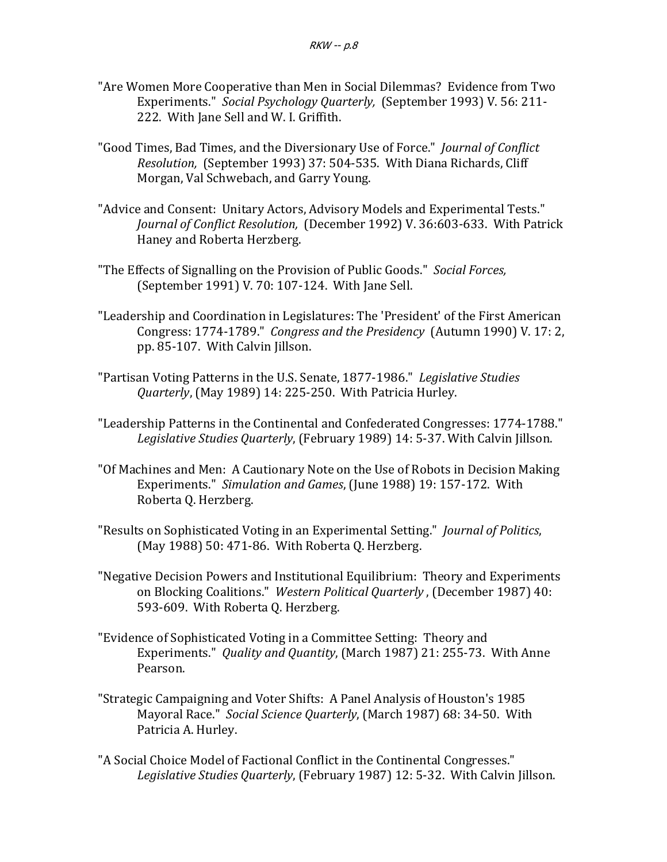- "Are Women More Cooperative than Men in Social Dilemmas? Evidence from Two Experiments." Social Psychology Quarterly, (September 1993) V. 56: 211-222. With Jane Sell and W. I. Griffith.
- "Good Times, Bad Times, and the Diversionary Use of Force." *Journal of Conflict Resolution,* (September 1993) 37: 504-535. With Diana Richards, Cliff Morgan, Val Schwebach, and Garry Young.
- "Advice and Consent: Unitary Actors, Advisory Models and Experimental Tests." *Journal of Conflict Resolution,* (December 1992) V. 36:603-633. With Patrick Haney and Roberta Herzberg.
- "The Effects of Signalling on the Provision of Public Goods." Social Forces, (September 1991) V. 70: 107-124. With Jane Sell.
- "Leadership and Coordination in Legislatures: The 'President' of the First American Congress: 1774-1789." Congress and the Presidency (Autumn 1990) V. 17: 2, pp. 85-107. With Calvin Jillson.
- "Partisan Voting Patterns in the U.S. Senate, 1877-1986." Legislative Studies *Quarterly*, (May 1989) 14: 225-250. With Patricia Hurley.
- "Leadership Patterns in the Continental and Confederated Congresses: 1774-1788." Legislative Studies Quarterly, (February 1989) 14: 5-37. With Calvin Jillson.
- "Of Machines and Men: A Cautionary Note on the Use of Robots in Decision Making Experiments." Simulation and Games, (June 1988) 19: 157-172. With Roberta Q. Herzberg.
- "Results on Sophisticated Voting in an Experimental Setting." *Journal of Politics*,  $(May 1988)$  50: 471-86. With Roberta Q. Herzberg.
- "Negative Decision Powers and Institutional Equilibrium: Theory and Experiments on Blocking Coalitions." Western Political Quarterly, (December 1987) 40: 593-609. With Roberta Q. Herzberg.
- "Evidence of Sophisticated Voting in a Committee Setting: Theory and Experiments." *Quality and Quantity*, (March 1987) 21: 255-73. With Anne Pearson.
- "Strategic Campaigning and Voter Shifts: A Panel Analysis of Houston's 1985 Mayoral Race." Social Science Quarterly, (March 1987) 68: 34-50. With Patricia A. Hurley.
- "A Social Choice Model of Factional Conflict in the Continental Congresses." Legislative Studies Quarterly, (February 1987) 12: 5-32. With Calvin Jillson.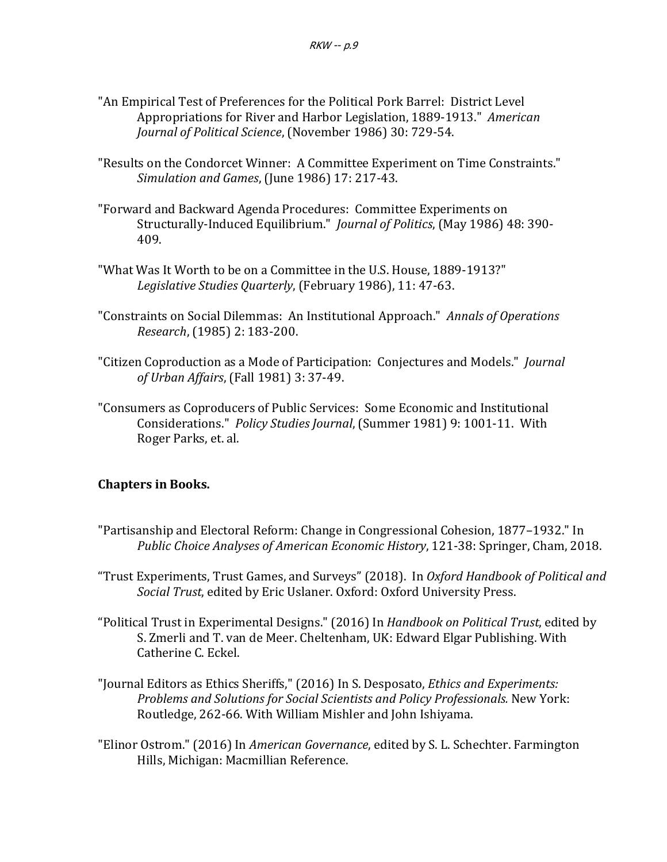- "An Empirical Test of Preferences for the Political Pork Barrel: District Level Appropriations for River and Harbor Legislation, 1889-1913." American *Journal of Political Science, (November 1986)* 30: 729-54.
- "Results on the Condorcet Winner: A Committee Experiment on Time Constraints." *Simulation and Games*, (June 1986) 17: 217-43.
- "Forward and Backward Agenda Procedures: Committee Experiments on Structurally-Induced Equilibrium." *Journal of Politics*, (May 1986) 48: 390-409.
- "What Was It Worth to be on a Committee in the U.S. House, 1889-1913?" Legislative Studies Quarterly, (February 1986), 11: 47-63.
- "Constraints on Social Dilemmas: An Institutional Approach." Annals of Operations *Research*, (1985) 2: 183-200.
- "Citizen Coproduction as a Mode of Participation: Conjectures and Models." *Journal of Urban Affairs*, (Fall 1981) 3: 37-49.
- "Consumers as Coproducers of Public Services: Some Economic and Institutional Considerations." *Policy Studies Journal*, (Summer 1981) 9: 1001-11. With Roger Parks, et. al.

# **Chapters in Books.**

"Partisanship and Electoral Reform: Change in Congressional Cohesion, 1877–1932." In *Public Choice Analyses of American Economic History*, 121-38: Springer, Cham, 2018.

"Trust Experiments, Trust Games, and Surveys" (2018). In *Oxford Handbook of Political and Social Trust*, edited by Eric Uslaner. Oxford: Oxford University Press.

- "Political Trust in Experimental Designs." (2016) In *Handbook on Political Trust*, edited by S. Zmerli and T. van de Meer. Cheltenham, UK: Edward Elgar Publishing. With Catherine C. Eckel.
- "Journal Editors as Ethics Sheriffs," (2016) In S. Desposato, *Ethics and Experiments: Problems and Solutions for Social Scientists and Policy Professionals.* New York: Routledge, 262-66. With William Mishler and John Ishiyama.
- "Elinor Ostrom." (2016) In *American Governance*, edited by S. L. Schechter. Farmington Hills, Michigan: Macmillian Reference.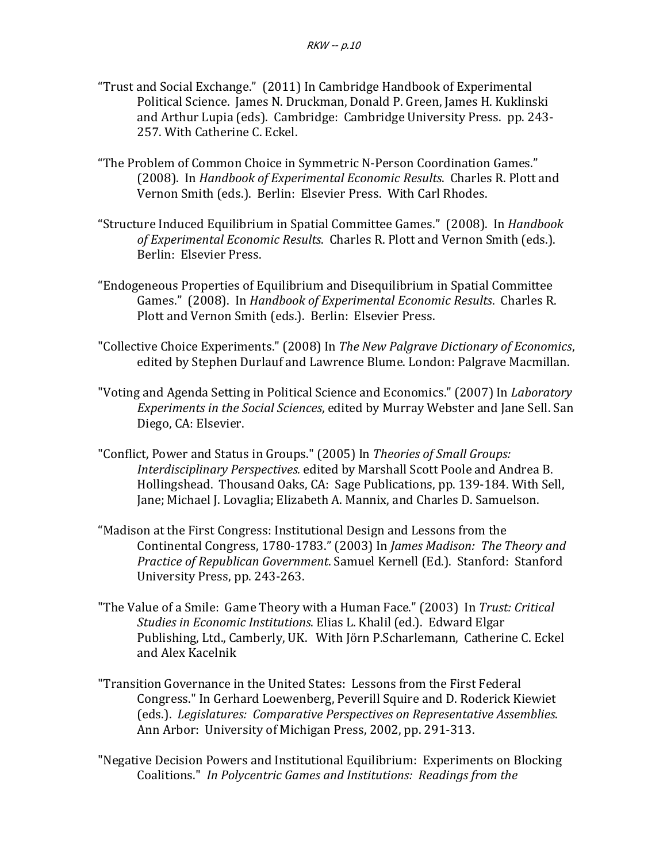- "Trust and Social Exchange." (2011) In Cambridge Handbook of Experimental Political Science. James N. Druckman, Donald P. Green, James H. Kuklinski and Arthur Lupia (eds). Cambridge: Cambridge University Press. pp. 243-257. With Catherine C. Eckel.
- "The Problem of Common Choice in Symmetric N-Person Coordination Games." (2008). In *Handbook of Experimental Economic Results*. Charles R. Plott and Vernon Smith (eds.). Berlin: Elsevier Press. With Carl Rhodes.
- "Structure Induced Equilibrium in Spatial Committee Games." (2008). In *Handbook* of Experimental Economic Results. Charles R. Plott and Vernon Smith (eds.). Berlin: Elsevier Press.
- "Endogeneous Properties of Equilibrium and Disequilibrium in Spatial Committee Games." (2008). In *Handbook of Experimental Economic Results*. Charles R. Plott and Vernon Smith (eds.). Berlin: Elsevier Press.
- "Collective Choice Experiments." (2008) In *The New Palgrave Dictionary of Economics*, edited by Stephen Durlauf and Lawrence Blume. London: Palgrave Macmillan.
- "Voting and Agenda Setting in Political Science and Economics." (2007) In *Laboratory Experiments in the Social Sciences*, edited by Murray Webster and Jane Sell. San Diego, CA: Elsevier.
- "Conflict, Power and Status in Groups." (2005) In *Theories of Small Groups: Interdisciplinary Perspectives.* edited by Marshall Scott Poole and Andrea B. Hollingshead. Thousand Oaks, CA: Sage Publications, pp. 139-184. With Sell, Jane; Michael J. Lovaglia; Elizabeth A. Mannix, and Charles D. Samuelson.
- "Madison at the First Congress: Institutional Design and Lessons from the Continental Congress, 1780-1783." (2003) In *James Madison: The Theory and Practice of Republican Government*. Samuel Kernell (Ed.). Stanford: Stanford University Press, pp. 243-263.
- "The Value of a Smile: Game Theory with a Human Face." (2003) In *Trust: Critical Studies in Economic Institutions.* Elias L. Khalil (ed.). Edward Elgar Publishing, Ltd., Camberly, UK. With Jörn P.Scharlemann, Catherine C. Eckel and Alex Kacelnik
- "Transition Governance in the United States: Lessons from the First Federal Congress." In Gerhard Loewenberg, Peverill Squire and D. Roderick Kiewiet (eds.). *Legislatures: Comparative Perspectives on Representative Assemblies.* Ann Arbor: University of Michigan Press, 2002, pp. 291-313.
- "Negative Decision Powers and Institutional Equilibrium: Experiments on Blocking Coalitions." In Polycentric Games and Institutions: Readings from the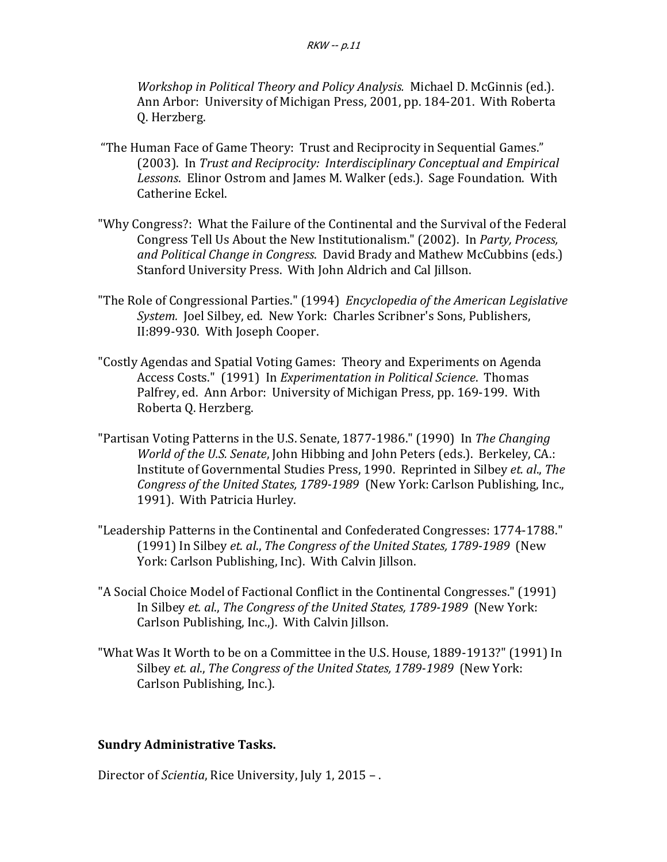*Workshop in Political Theory and Policy Analysis.* Michael D. McGinnis (ed.). Ann Arbor: University of Michigan Press, 2001, pp. 184-201. With Roberta Q. Herzberg.

- "The Human Face of Game Theory: Trust and Reciprocity in Sequential Games." (2003). In *Trust and Reciprocity: Interdisciplinary Conceptual and Empirical* Lessons. Elinor Ostrom and James M. Walker (eds.). Sage Foundation. With Catherine Eckel.
- "Why Congress?: What the Failure of the Continental and the Survival of the Federal Congress Tell Us About the New Institutionalism." (2002). In *Party, Process,* and Political Change in Congress. David Brady and Mathew McCubbins (eds.) Stanford University Press. With John Aldrich and Cal Jillson.
- "The Role of Congressional Parties." (1994) *Encyclopedia of the American Legislative System.* Joel Silbey, ed. New York: Charles Scribner's Sons, Publishers, II:899-930. With Joseph Cooper.
- "Costly Agendas and Spatial Voting Games: Theory and Experiments on Agenda Access Costs." (1991) In *Experimentation in Political Science*. Thomas Palfrey, ed. Ann Arbor: University of Michigan Press, pp. 169-199. With Roberta Q. Herzberg.
- "Partisan Voting Patterns in the U.S. Senate, 1877-1986." (1990) In The Changing *World of the U.S. Senate*, John Hibbing and John Peters (eds.). Berkeley, CA.: Institute of Governmental Studies Press, 1990. Reprinted in Silbey et. al., The *Congress of the United States, 1789-1989* (New York: Carlson Publishing, Inc., 1991). With Patricia Hurley.
- "Leadership Patterns in the Continental and Confederated Congresses: 1774-1788." (1991) In Silbey et. al., The Congress of the United States, 1789-1989 (New York: Carlson Publishing, Inc). With Calvin Jillson.
- "A Social Choice Model of Factional Conflict in the Continental Congresses." (1991) In Silbey et. al., *The Congress of the United States, 1789-1989* (New York: Carlson Publishing, Inc.,). With Calvin Jillson.
- "What Was It Worth to be on a Committee in the U.S. House, 1889-1913?" (1991) In Silbey et. al., The Congress of the United States, 1789-1989 (New York: Carlson Publishing, Inc.).

## **Sundry Administrative Tasks.**

Director of *Scientia*, Rice University, July 1, 2015 -.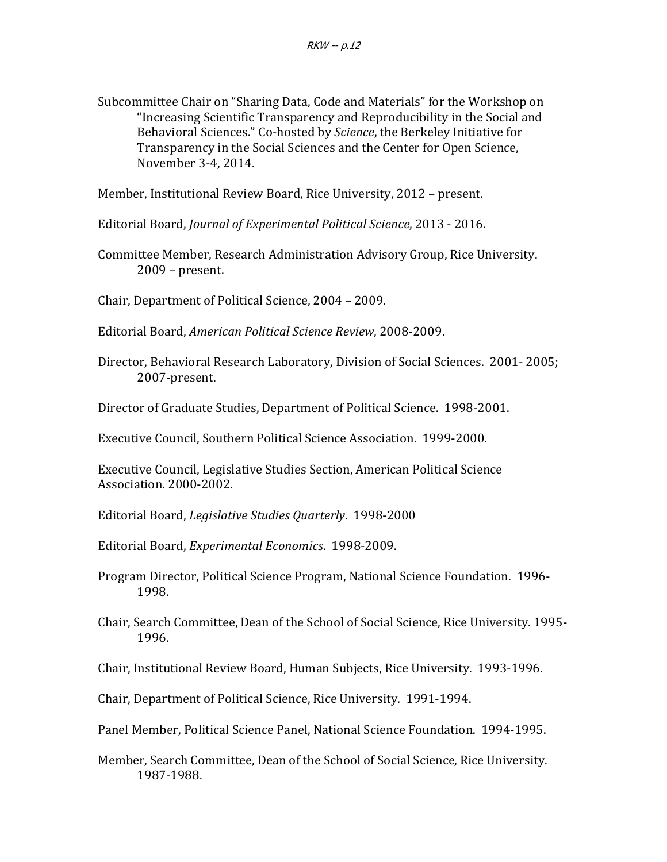Subcommittee Chair on "Sharing Data, Code and Materials" for the Workshop on "Increasing Scientific Transparency and Reproducibility in the Social and Behavioral Sciences." Co-hosted by *Science*, the Berkeley Initiative for Transparency in the Social Sciences and the Center for Open Science, November 3-4, 2014.

Member, Institutional Review Board, Rice University, 2012 - present.

Editorial Board, *Journal of Experimental Political Science*, 2013 - 2016.

Committee Member, Research Administration Advisory Group, Rice University.  $2009$  – present.

Chair, Department of Political Science, 2004 - 2009.

Editorial Board, *American Political Science Review*, 2008-2009.

Director, Behavioral Research Laboratory, Division of Social Sciences. 2001-2005; 2007-present.

Director of Graduate Studies, Department of Political Science. 1998-2001.

Executive Council, Southern Political Science Association. 1999-2000.

Executive Council, Legislative Studies Section, American Political Science Association. 2000-2002.

Editorial Board, *Legislative Studies Quarterly*. 1998-2000

Editorial Board, *Experimental Economics*. 1998-2009.

- Program Director, Political Science Program, National Science Foundation. 1996-1998.
- Chair, Search Committee, Dean of the School of Social Science, Rice University. 1995-1996.

Chair, Institutional Review Board, Human Subjects, Rice University. 1993-1996.

Chair, Department of Political Science, Rice University. 1991-1994.

Panel Member, Political Science Panel, National Science Foundation. 1994-1995.

Member, Search Committee, Dean of the School of Social Science, Rice University. 1987-1988.